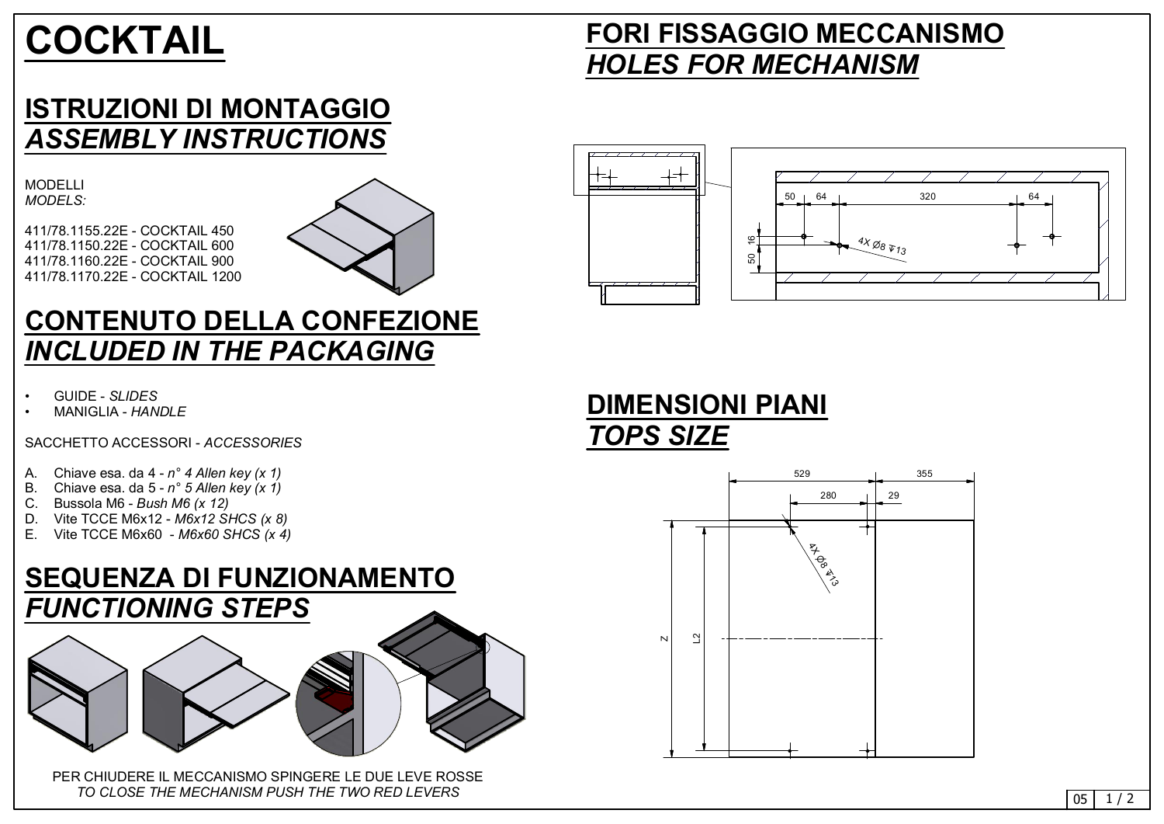#### **DIMENSIONI PIANI** *TOPS SIZE*



 $05 \mid 1/2$ 

## **FORI FISSAGGIO MECCANISMO** *HOLES FOR MECHANISM*



# **COCKTAIL**

#### **ISTRUZIONI DI MONTAGGIO** *ASSEMBLY INSTRUCTIONS*

MODELLI *MODELS:*

411/78.1155.22E - COCKTAIL 450 411/78.1150.22E - COCKTAIL 600 411/78.1160.22E - COCKTAIL 900 411/78.1170.22E - COCKTAIL 1200



# E. Vite TCCE M6x60 - *M6x60 SHCS (x 4)* <sup>P</sup><sup>8</sup> **SEQUENZA DI FUNZIONAMENTO** *FUNCTIONING STEPS*

#### **CONTENUTO DELLA CONFEZIONE** *INCLUDED IN THE PACKAGING*

- GUIDE *SLIDES*
- MANIGLIA *HANDLE*

SACCHETTO ACCESSORI - *ACCESSORIES*

- A. Chiave esa. da 4 *n 4 Allen key (x 1)*
- B. Chiave esa. da 5 *n 5 Allen key (x 1)*
- C. Bussola M6 *Bush M6 (x 12)*
- D. Vite TCCE M6x12 *M6x12 SHCS (x 8)*
- E. Vite TCCE M6x60 *M6x60 SHCS (x 4)*

PER CHIUDERE IL MECCANISMO SPINGERE LE DUE LEVE ROSSE *TO CLOSE THE MECHANISM PUSH THE TWO RED LEVERS*